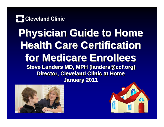

#### **Physician Guide to Home Physician Guide to Home Physician Guide to Home Health Care Certification for Medicare Enrollees for Medicare Enrollees for Medicare Enrollees Steve Landers MD, MPH (landers@ccf.org) Steve Landers MD, MPH ( Steve Landers MD, MPH (landers@ccf.org landers@ccf.org) Director, Cleveland Clinic at Home January 2011 January 2011 January 2011**



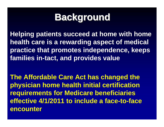## **Background Background Background**

**Helping patients succeed at home with home health care is a rewarding aspect of medical practice that promotes independence, keeps families in-tact, and provides value**

**The Affordable Care Act has changed the physician home health initial certification requirements for Medicare beneficiaries effective 4/1/2011 to include a face-to-face encounter**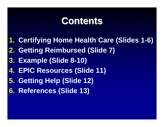#### **Contents Contents Contents**

- **1. Certifying Home Health Care (Slides 1-6)**
- **2. Getting Reimbursed (Slide 7)**
- **3. Example (Slide 8-10)**
- **4. EPIC Resources (Slide 11)**
- **5. Getting Help (Slide 12)**
- **6. References (Slide 13)**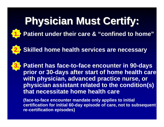# **Physician Must Certify: Physician Must Certify: Physician Must Certify:**



#### **Patient under their care & "confined to home"**



**Patient has face-to-face encounter in 90-days prior or 30-days after start of home health care with physician, advanced practice nurse, or physician assistant related to the condition(s) that necessitate home health care**

**(face-to-face encounter mandate only applies to initial certification for initial 60-day episode of care, not to subsequent re-certification episodes)**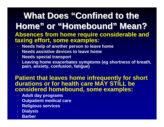#### **What Does "Confined to the Home" or "Homebound" Mean? Home" " or "Homebound Homebound"Mean? Absences from home require considerable and taxing effort, some examples:**

- **Needs help of another person to leave home**
- **Needs assistive devices to leave home**
- **Needs special transport**
- **Leaving home exacerbates symptoms (eg shortness of breath, pain, anxiety, confusion, fatigue)**

#### **Patient that leaves home infrequently for short durations or for health care MAY STILL be considered homebound, some examples:**

- **Adult day programs**
- **Outpatient medical care**
- **Religious services**
- **Dialysis**
- **Barber**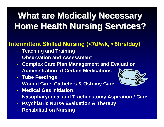## What are Medically Necessary **Home Health Nursing Services? Home Health Nursing Services? Home Health Nursing Services?**

#### **Intermittent Skilled Nursing (<7d/wk, <8hrs/day)**

- **Teaching and Training**
- **Observation and Assessment**
- **Complex Care Plan Management and Evaluation**
- **Administration of Certain Medications**
- **Tube Feedings**
- **Wound Care, Catheters & Ostomy Care**
- **Medical Gas Initiation**
- **Nasopharyngeal and Tracheostomy Aspiration / Care**
- **Psychiatric Nurse Evaluation & Therapy**
- **Rehabilitation Nursing**

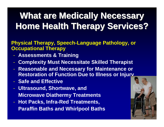## What are Medically Necessary **Home Health Therapy Services? Home Health Therapy Services? Home Health Therapy Services?**

**Physical Therapy, Speech-Language Pathology, or Occupational Therapy**

- **Assessments & Training**
- **Complexity Must Necessitate Skilled Therapist**
- **Reasonable and Necessary for Maintenance or Restoration of Function Due to Illness or Injury**
- **Safe and Effective**
- **Ultrasound, Shortwave, and Microwave Diathermy Treatments**
- **Hot Packs, Infra-Red Treatments, Paraffin Baths and Whirlpool Baths**

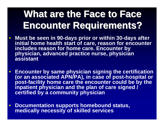# What are the Face to Face **Encounter Requirements? Encounter Requirements? Encounter Requirements?**

- **Must be seen in 90-days prior or within 30-days after initial home health start of care, reason for encounter includes reason for home care. Encounter by physician, advanced practice nurse, physician assistant**
- **Encounter by same physician signing the certification (or an associated APN/PA), in case of post-hospital or post-facility home care the encounter could be by the inpatient physician and the plan of care signed / certified by a community physician**
- **Documentation supports homebound status, medically necessity of skilled services**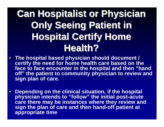## **Can Hospitalist or Physician Only Seeing Patient in Hospital Certify Home Health? Health? Health?**

- **The hospital based physician should document / certify the need for home health care based on the face to face encounter in the hospital and then "hand off" the patient to community physician to review and sign plan of care.**
- **Depending on the clinical situation, if the hospital physician intends to "follow" the initial post-acute care there may be instances where they review and sign the plan of care and then hand-off patient at appropriate time**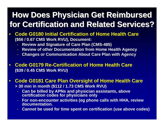#### **How Does Physician Get Reimbursed How Does Physician Get Reimbursed How Does Physician Get Reimbursed for Certification and Related Services? for Certification and Related Services? for Certification and Related Services?**

- **Code G0180 Initial Certification of Home Health Care (\$56 / 0.67 CMS Work RVU), Document:**
	- **Review and Signature of Care Plan (CMS-485)**
	- **Review of other Documentation from Home Health Agency**
	- **Changes or Communication About Care Plan with Agency**
- **Code G0179 Re-Certification of Home Health Care (\$39 / 0.45 CMS Work RVU)**

#### • **Code G0181 Care Plan Oversight of Home Health Care > 30 min in month (\$112 / 1.73 CMS Work RVU)**

- **Can be billed by APNs and physician assistants, above certification codes for physicians only**
- **For non-encounter activities (eg phone calls with HHA, review documentation.**
- **Cannot be used for time spent on certification (use above codes)**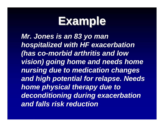# **Example Example Example**

*Mr. Jones is an 83 yo man hospitalized with HF exacerbation (has co-morbid arthritis and low vision) going home and needs home nursing due to medication changes and high potential for relapse. Needs home physical therapy due to deconditioning during exacerbation and falls risk reduction*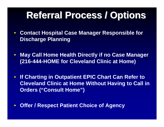## **Referral Process / Options Referral Process / Options Referral Process / Options**

- **Contact Hospital Case Manager Responsible for Discharge Planning**
- **May Call Home Health Directly if no Case Manager (216-444-HOME for Cleveland Clinic at Home)**
- **If Charting in Outpatient EPIC Chart Can Refer to Cleveland Clinic at Home Without Having to Call in Orders ("Consult Home")**
- **Offer / Respect Patient Choice of Agency**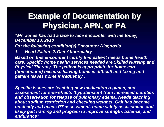#### **Example of Documentation by Physician, APN, or PA Physician, APN, or PA Physician, APN, or PA**

*"Mr. Jones has had a face to face encounter with me today, December 13, 2010*

*For the following condition(s) Encounter Diagnosis*

*1. Heart Failure 2.Gait Abnormality*

*Based on this encounter I certify this patient needs home health care. Specific home health services needed are Skilled Nursing and Physical Therapy. The patient is appropriate for home care (homebound) because leaving home is difficult and taxing and patient leaves home infrequently .* 

*Specific issues are teaching new medication regimen, and assessment for side-effects (hypotension) from increased diuretics and observation for relapse of pulmonary edema. Needs teaching about sodium restriction and checking weights. Gait has become unsteady and needs PT assessment, home safety assessment, and likely gait training and program to improve strength, balance, and endurance"*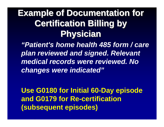#### **Example of Documentation for Certification Billing by Physician Physician Physician**

*"Patient's home health 485 form / care plan reviewed and signed. Relevant medical records were reviewed. No changes were indicated"*

**Use G0180 for Initial 60-Day episode and G0179 for Re-certification (subsequent episodes)**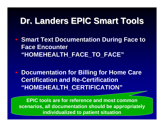### **Dr. Landers EPIC Smart Tools Dr. Landers EPIC Smart Tools Dr. Landers EPIC Smart Tools**

- **Smart Text Documentation During Face to Face Encounter "HOMEHEALTH\_FACE\_TO\_FACE"**
- **Documentation for Billing for Home Care Certification and Re-Certification "HOMEHEALTH\_CERTIFICATION"**

**EPIC tools are for reference and most common scenarios, all documentation should be appropriately individualized to patient situation**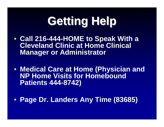# **Getting Help Getting Help Getting Help**

- **Call 216-444-HOME to Speak With a Cleveland Clinic at Home Clinical Manager or Administrator**
- **Medical Care at Home (Physician and NP Home Visits for Homebound Patients 444-8742)**
- **Page Dr. Landers Any Time (83685)**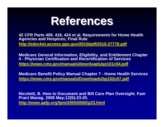

**42 CFR Parts 409, 418, 424 et al. Requirements for Home Health Agencies and Hospices; Final Rule <http://edocket.access.gpo.gov/2010/pdf/2010-27778.pdf>**

**Medicare General Information, Eligibility, and Entitlement Chapter 4 - Physician Certification and Recertification of Services <https://www.cms.gov/manuals/downloads/ge101c04.pdf>**

**Medicare Benefit Policy Manual Chapter 7 - Home Health Services <https://www.cms.gov/manuals/Downloads/bp102c07.pdf>**

**Nicoletti, B. How to Document and Bill Care Plan Oversight. Fam Pract Manag. 2005 May;12(5):23-25. <http://www.aafp.org/fpm/2005/0500/p23.html>**